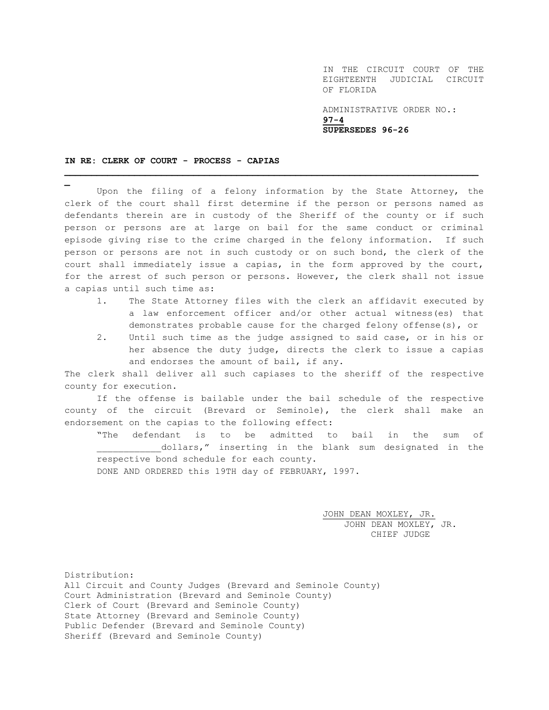IN THE CIRCUIT COURT OF THE EIGHTEENTH JUDICIAL CIRCUIT OF FLORIDA

ADMINISTRATIVE ORDER NO.: **97-4 SUPERSEDES 96-26**

## **IN RE: CLERK OF COURT - PROCESS - CAPIAS**

**\_**

Upon the filing of a felony information by the State Attorney, the clerk of the court shall first determine if the person or persons named as defendants therein are in custody of the Sheriff of the county or if such person or persons are at large on bail for the same conduct or criminal episode giving rise to the crime charged in the felony information. If such person or persons are not in such custody or on such bond, the clerk of the court shall immediately issue a capias, in the form approved by the court, for the arrest of such person or persons. However, the clerk shall not issue a capias until such time as:

**\_\_\_\_\_\_\_\_\_\_\_\_\_\_\_\_\_\_\_\_\_\_\_\_\_\_\_\_\_\_\_\_\_\_\_\_\_\_\_\_\_\_\_\_\_\_\_\_\_\_\_\_\_\_\_\_\_\_\_\_\_\_\_\_\_\_\_\_\_\_\_\_\_\_\_\_\_**

- 1. The State Attorney files with the clerk an affidavit executed by a law enforcement officer and/or other actual witness(es) that demonstrates probable cause for the charged felony offense(s), or
- 2. Until such time as the judge assigned to said case, or in his or her absence the duty judge, directs the clerk to issue a capias and endorses the amount of bail, if any.

The clerk shall deliver all such capiases to the sheriff of the respective county for execution.

If the offense is bailable under the bail schedule of the respective county of the circuit (Brevard or Seminole), the clerk shall make an endorsement on the capias to the following effect:

"The defendant is to be admitted to bail in the sum of dollars," inserting in the blank sum designated in the respective bond schedule for each county. DONE AND ORDERED this 19TH day of FEBRUARY, 1997.

> JOHN DEAN MOXLEY, JR. JOHN DEAN MOXLEY, JR. CHIEF JUDGE

Distribution: All Circuit and County Judges (Brevard and Seminole County) Court Administration (Brevard and Seminole County) Clerk of Court (Brevard and Seminole County) State Attorney (Brevard and Seminole County) Public Defender (Brevard and Seminole County) Sheriff (Brevard and Seminole County)